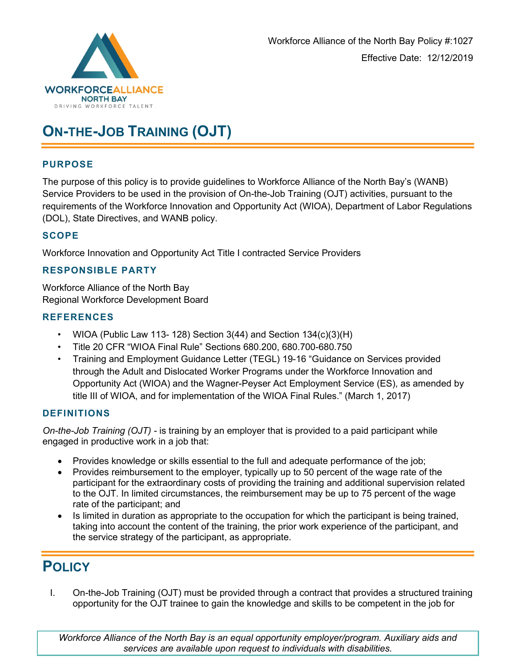

# **ON-THE-JOB TRAINING (OJT)**

## **PURPOSE**

The purpose of this policy is to provide guidelines to Workforce Alliance of the North Bay's (WANB) Service Providers to be used in the provision of On-the-Job Training (OJT) activities, pursuant to the requirements of the Workforce Innovation and Opportunity Act (WIOA), Department of Labor Regulations (DOL), State Directives, and WANB policy.

# **SCOPE**

Workforce Innovation and Opportunity Act Title I contracted Service Providers

# **RESPONSIBLE PARTY**

Workforce Alliance of the North Bay Regional Workforce Development Board

#### **REFERENCES**

- WIOA (Public Law 113-128) Section  $3(44)$  and Section  $134(c)(3)(H)$
- Title 20 CFR "WIOA Final Rule" Sections 680.200, 680.700-680.750
- Training and Employment Guidance Letter (TEGL) 19-16 "Guidance on Services provided through the Adult and Dislocated Worker Programs under the Workforce Innovation and Opportunity Act (WIOA) and the Wagner-Peyser Act Employment Service (ES), as amended by title III of WIOA, and for implementation of the WIOA Final Rules." (March 1, 2017)

## **DEFINITIONS**

*On-the-Job Training (OJT) -* is training by an employer that is provided to a paid participant while engaged in productive work in a job that:

- Provides knowledge or skills essential to the full and adequate performance of the job;
- Provides reimbursement to the employer, typically up to 50 percent of the wage rate of the participant for the extraordinary costs of providing the training and additional supervision related to the OJT. In limited circumstances, the reimbursement may be up to 75 percent of the wage rate of the participant; and
- Is limited in duration as appropriate to the occupation for which the participant is being trained, taking into account the content of the training, the prior work experience of the participant, and the service strategy of the participant, as appropriate.

# **POLICY**

I. On-the-Job Training (OJT) must be provided through a contract that provides a structured training opportunity for the OJT trainee to gain the knowledge and skills to be competent in the job for

*Workforce Alliance of the North Bay is an equal opportunity employer/program. Auxiliary aids and services are available upon request to individuals with disabilities.*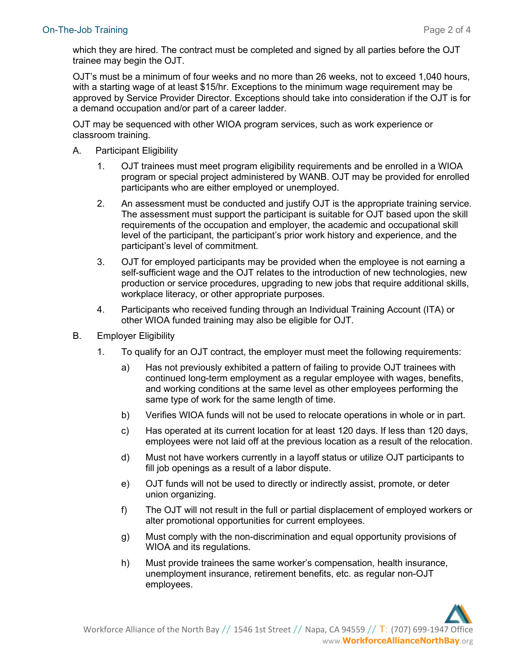which they are hired. The contract must be completed and signed by all parties before the OJT trainee may begin the OJT.

OJT's must be a minimum of four weeks and no more than 26 weeks, not to exceed 1,040 hours, with a starting wage of at least \$15/hr. Exceptions to the minimum wage requirement may be approved by Service Provider Director. Exceptions should take into consideration if the OJT is for a demand occupation and/or part of a career ladder.

OJT may be sequenced with other WIOA program services, such as work experience or classroom training.

- A. Participant Eligibility
	- 1. OJT trainees must meet program eligibility requirements and be enrolled in a WIOA program or special project administered by WANB. OJT may be provided for enrolled participants who are either employed or unemployed.
	- 2. An assessment must be conducted and justify OJT is the appropriate training service. The assessment must support the participant is suitable for OJT based upon the skill requirements of the occupation and employer, the academic and occupational skill level of the participant, the participant's prior work history and experience, and the participant's level of commitment.
	- 3. OJT for employed participants may be provided when the employee is not earning a self-sufficient wage and the OJT relates to the introduction of new technologies, new production or service procedures, upgrading to new jobs that require additional skills, workplace literacy, or other appropriate purposes.
	- 4. Participants who received funding through an Individual Training Account (ITA) or other WIOA funded training may also be eligible for OJT.
- B. Employer Eligibility
	- 1. To qualify for an OJT contract, the employer must meet the following requirements:
		- a) Has not previously exhibited a pattern of failing to provide OJT trainees with continued long-term employment as a regular employee with wages, benefits, and working conditions at the same level as other employees performing the same type of work for the same length of time.
		- b) Verifies WIOA funds will not be used to relocate operations in whole or in part.
		- c) Has operated at its current location for at least 120 days. If less than 120 days, employees were not laid off at the previous location as a result of the relocation.
		- d) Must not have workers currently in a layoff status or utilize OJT participants to fill job openings as a result of a labor dispute.
		- e) OJT funds will not be used to directly or indirectly assist, promote, or deter union organizing.
		- f) The OJT will not result in the full or partial displacement of employed workers or alter promotional opportunities for current employees.
		- g) Must comply with the non-discrimination and equal opportunity provisions of WIOA and its regulations.
		- h) Must provide trainees the same worker's compensation, health insurance, unemployment insurance, retirement benefits, etc. as regular non-OJT employees.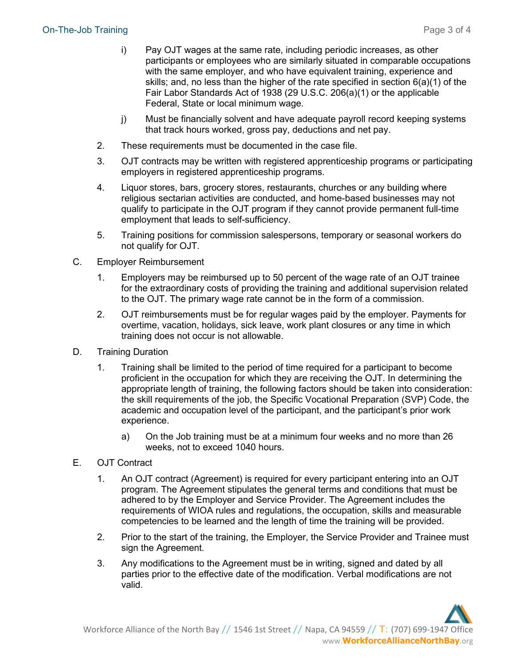- i) Pay OJT wages at the same rate, including periodic increases, as other participants or employees who are similarly situated in comparable occupations with the same employer, and who have equivalent training, experience and skills; and, no less than the higher of the rate specified in section 6(a)(1) of the Fair Labor Standards Act of 1938 (29 U.S.C. 206(a)(1) or the applicable Federal, State or local minimum wage.
- j) Must be financially solvent and have adequate payroll record keeping systems that track hours worked, gross pay, deductions and net pay.
- 2. These requirements must be documented in the case file.
- 3. OJT contracts may be written with registered apprenticeship programs or participating employers in registered apprenticeship programs.
- 4. Liquor stores, bars, grocery stores, restaurants, churches or any building where religious sectarian activities are conducted, and home-based businesses may not qualify to participate in the OJT program if they cannot provide permanent full-time employment that leads to self-sufficiency.
- 5. Training positions for commission salespersons, temporary or seasonal workers do not qualify for OJT.
- C. Employer Reimbursement
	- 1. Employers may be reimbursed up to 50 percent of the wage rate of an OJT trainee for the extraordinary costs of providing the training and additional supervision related to the OJT. The primary wage rate cannot be in the form of a commission.
	- 2. OJT reimbursements must be for regular wages paid by the employer. Payments for overtime, vacation, holidays, sick leave, work plant closures or any time in which training does not occur is not allowable.
- D. Training Duration
	- 1. Training shall be limited to the period of time required for a participant to become proficient in the occupation for which they are receiving the OJT. In determining the appropriate length of training, the following factors should be taken into consideration: the skill requirements of the job, the Specific Vocational Preparation (SVP) Code, the academic and occupation level of the participant, and the participant's prior work experience.
		- a) On the Job training must be at a minimum four weeks and no more than 26 weeks, not to exceed 1040 hours.
- E. OJT Contract
	- 1. An OJT contract (Agreement) is required for every participant entering into an OJT program. The Agreement stipulates the general terms and conditions that must be adhered to by the Employer and Service Provider. The Agreement includes the requirements of WIOA rules and regulations, the occupation, skills and measurable competencies to be learned and the length of time the training will be provided.
	- 2. Prior to the start of the training, the Employer, the Service Provider and Trainee must sign the Agreement.
	- 3. Any modifications to the Agreement must be in writing, signed and dated by all parties prior to the effective date of the modification. Verbal modifications are not valid.